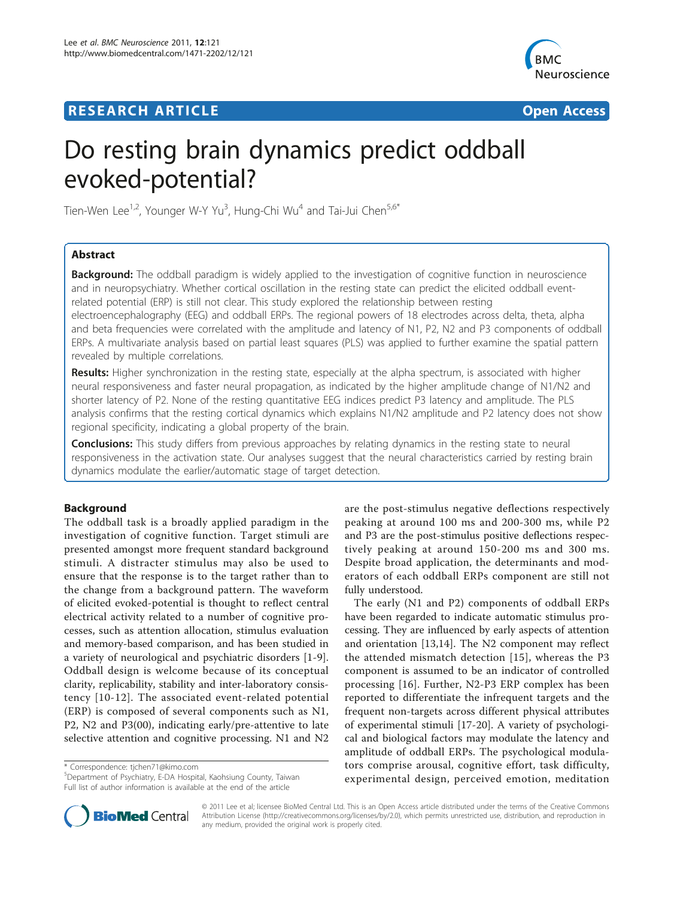# **RESEARCH ARTICLE Example 2018 Open Access**



# Do resting brain dynamics predict oddball evoked-potential?

Tien-Wen Lee<sup>1,2</sup>, Younger W-Y Yu<sup>3</sup>, Hung-Chi Wu<sup>4</sup> and Tai-Jui Chen<sup>5,6\*</sup>

# Abstract

**Background:** The oddball paradigm is widely applied to the investigation of cognitive function in neuroscience and in neuropsychiatry. Whether cortical oscillation in the resting state can predict the elicited oddball eventrelated potential (ERP) is still not clear. This study explored the relationship between resting electroencephalography (EEG) and oddball ERPs. The regional powers of 18 electrodes across delta, theta, alpha and beta frequencies were correlated with the amplitude and latency of N1, P2, N2 and P3 components of oddball ERPs. A multivariate analysis based on partial least squares (PLS) was applied to further examine the spatial pattern revealed by multiple correlations.

Results: Higher synchronization in the resting state, especially at the alpha spectrum, is associated with higher neural responsiveness and faster neural propagation, as indicated by the higher amplitude change of N1/N2 and shorter latency of P2. None of the resting quantitative EEG indices predict P3 latency and amplitude. The PLS analysis confirms that the resting cortical dynamics which explains N1/N2 amplitude and P2 latency does not show regional specificity, indicating a global property of the brain.

**Conclusions:** This study differs from previous approaches by relating dynamics in the resting state to neural responsiveness in the activation state. Our analyses suggest that the neural characteristics carried by resting brain dynamics modulate the earlier/automatic stage of target detection.

# Background

The oddball task is a broadly applied paradigm in the investigation of cognitive function. Target stimuli are presented amongst more frequent standard background stimuli. A distracter stimulus may also be used to ensure that the response is to the target rather than to the change from a background pattern. The waveform of elicited evoked-potential is thought to reflect central electrical activity related to a number of cognitive processes, such as attention allocation, stimulus evaluation and memory-based comparison, and has been studied in a variety of neurological and psychiatric disorders [[1-9](#page-7-0)]. Oddball design is welcome because of its conceptual clarity, replicability, stability and inter-laboratory consistency [[10-12](#page-7-0)]. The associated event-related potential (ERP) is composed of several components such as N1, P2, N2 and P3(00), indicating early/pre-attentive to late selective attention and cognitive processing. N1 and N2

\* Correspondence: [tjchen71@kimo.com](mailto:tjchen71@kimo.com)

5 Department of Psychiatry, E-DA Hospital, Kaohsiung County, Taiwan Full list of author information is available at the end of the article



The early (N1 and P2) components of oddball ERPs have been regarded to indicate automatic stimulus processing. They are influenced by early aspects of attention and orientation [[13](#page-7-0),[14\]](#page-7-0). The N2 component may reflect the attended mismatch detection [[15\]](#page-7-0), whereas the P3 component is assumed to be an indicator of controlled processing [[16\]](#page-7-0). Further, N2-P3 ERP complex has been reported to differentiate the infrequent targets and the frequent non-targets across different physical attributes of experimental stimuli [[17](#page-7-0)-[20\]](#page-7-0). A variety of psychological and biological factors may modulate the latency and amplitude of oddball ERPs. The psychological modulators comprise arousal, cognitive effort, task difficulty, experimental design, perceived emotion, meditation



© 2011 Lee et al; licensee BioMed Central Ltd. This is an Open Access article distributed under the terms of the Creative Commons Attribution License [\(http://creativecommons.org/licenses/by/2.0](http://creativecommons.org/licenses/by/2.0)), which permits unrestricted use, distribution, and reproduction in any medium, provided the original work is properly cited.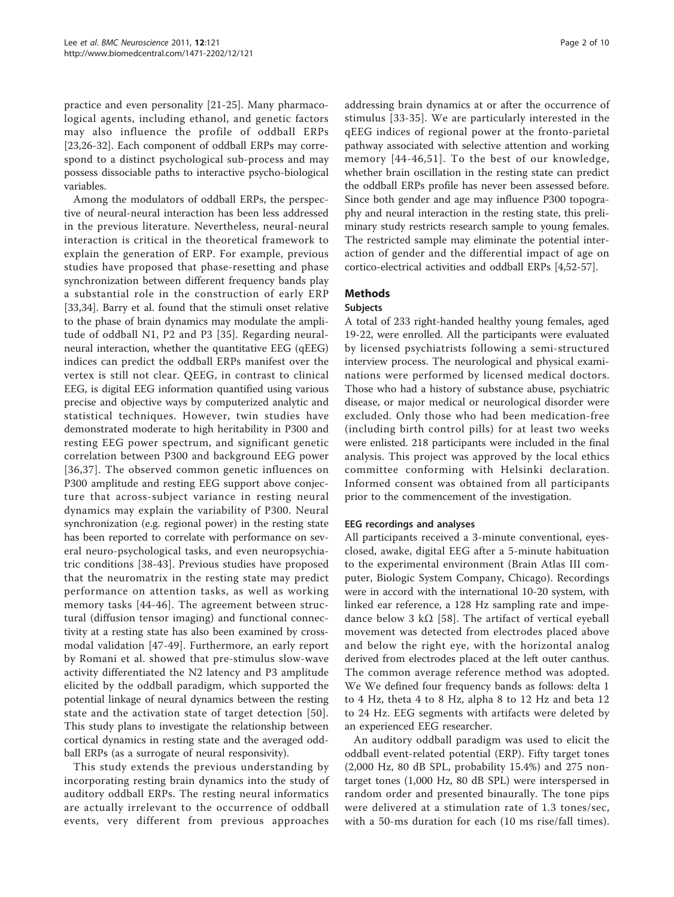practice and even personality [\[21](#page-7-0)-[25\]](#page-7-0). Many pharmacological agents, including ethanol, and genetic factors may also influence the profile of oddball ERPs [[23,26-32](#page-7-0)]. Each component of oddball ERPs may correspond to a distinct psychological sub-process and may possess dissociable paths to interactive psycho-biological variables.

Among the modulators of oddball ERPs, the perspective of neural-neural interaction has been less addressed in the previous literature. Nevertheless, neural-neural interaction is critical in the theoretical framework to explain the generation of ERP. For example, previous studies have proposed that phase-resetting and phase synchronization between different frequency bands play a substantial role in the construction of early ERP [[33,34\]](#page-7-0). Barry et al. found that the stimuli onset relative to the phase of brain dynamics may modulate the amplitude of oddball N1, P2 and P3 [[35\]](#page-7-0). Regarding neuralneural interaction, whether the quantitative EEG (qEEG) indices can predict the oddball ERPs manifest over the vertex is still not clear. QEEG, in contrast to clinical EEG, is digital EEG information quantified using various precise and objective ways by computerized analytic and statistical techniques. However, twin studies have demonstrated moderate to high heritability in P300 and resting EEG power spectrum, and significant genetic correlation between P300 and background EEG power [[36,37](#page-7-0)]. The observed common genetic influences on P300 amplitude and resting EEG support above conjecture that across-subject variance in resting neural dynamics may explain the variability of P300. Neural synchronization (e.g. regional power) in the resting state has been reported to correlate with performance on several neuro-psychological tasks, and even neuropsychiatric conditions [[38](#page-8-0)-[43\]](#page-8-0). Previous studies have proposed that the neuromatrix in the resting state may predict performance on attention tasks, as well as working memory tasks [[44](#page-8-0)-[46](#page-8-0)]. The agreement between structural (diffusion tensor imaging) and functional connectivity at a resting state has also been examined by crossmodal validation [[47-49\]](#page-8-0). Furthermore, an early report by Romani et al. showed that pre-stimulus slow-wave activity differentiated the N2 latency and P3 amplitude elicited by the oddball paradigm, which supported the potential linkage of neural dynamics between the resting state and the activation state of target detection [[50\]](#page-8-0). This study plans to investigate the relationship between cortical dynamics in resting state and the averaged oddball ERPs (as a surrogate of neural responsivity).

This study extends the previous understanding by incorporating resting brain dynamics into the study of auditory oddball ERPs. The resting neural informatics are actually irrelevant to the occurrence of oddball events, very different from previous approaches addressing brain dynamics at or after the occurrence of stimulus [[33](#page-7-0)-[35](#page-7-0)]. We are particularly interested in the qEEG indices of regional power at the fronto-parietal pathway associated with selective attention and working memory [[44-46,51](#page-8-0)]. To the best of our knowledge, whether brain oscillation in the resting state can predict the oddball ERPs profile has never been assessed before. Since both gender and age may influence P300 topography and neural interaction in the resting state, this preliminary study restricts research sample to young females. The restricted sample may eliminate the potential interaction of gender and the differential impact of age on cortico-electrical activities and oddball ERPs [\[4](#page-7-0)[,52](#page-8-0)-[57](#page-8-0)].

# Methods

# **Subjects**

A total of 233 right-handed healthy young females, aged 19-22, were enrolled. All the participants were evaluated by licensed psychiatrists following a semi-structured interview process. The neurological and physical examinations were performed by licensed medical doctors. Those who had a history of substance abuse, psychiatric disease, or major medical or neurological disorder were excluded. Only those who had been medication-free (including birth control pills) for at least two weeks were enlisted. 218 participants were included in the final analysis. This project was approved by the local ethics committee conforming with Helsinki declaration. Informed consent was obtained from all participants prior to the commencement of the investigation.

# EEG recordings and analyses

All participants received a 3-minute conventional, eyesclosed, awake, digital EEG after a 5-minute habituation to the experimental environment (Brain Atlas III computer, Biologic System Company, Chicago). Recordings were in accord with the international 10-20 system, with linked ear reference, a 128 Hz sampling rate and impedance below 3 k $\Omega$  [[58](#page-8-0)]. The artifact of vertical eyeball movement was detected from electrodes placed above and below the right eye, with the horizontal analog derived from electrodes placed at the left outer canthus. The common average reference method was adopted. We We defined four frequency bands as follows: delta 1 to 4 Hz, theta 4 to 8 Hz, alpha 8 to 12 Hz and beta 12 to 24 Hz. EEG segments with artifacts were deleted by an experienced EEG researcher.

An auditory oddball paradigm was used to elicit the oddball event-related potential (ERP). Fifty target tones (2,000 Hz, 80 dB SPL, probability 15.4%) and 275 nontarget tones (1,000 Hz, 80 dB SPL) were interspersed in random order and presented binaurally. The tone pips were delivered at a stimulation rate of 1.3 tones/sec, with a 50-ms duration for each (10 ms rise/fall times).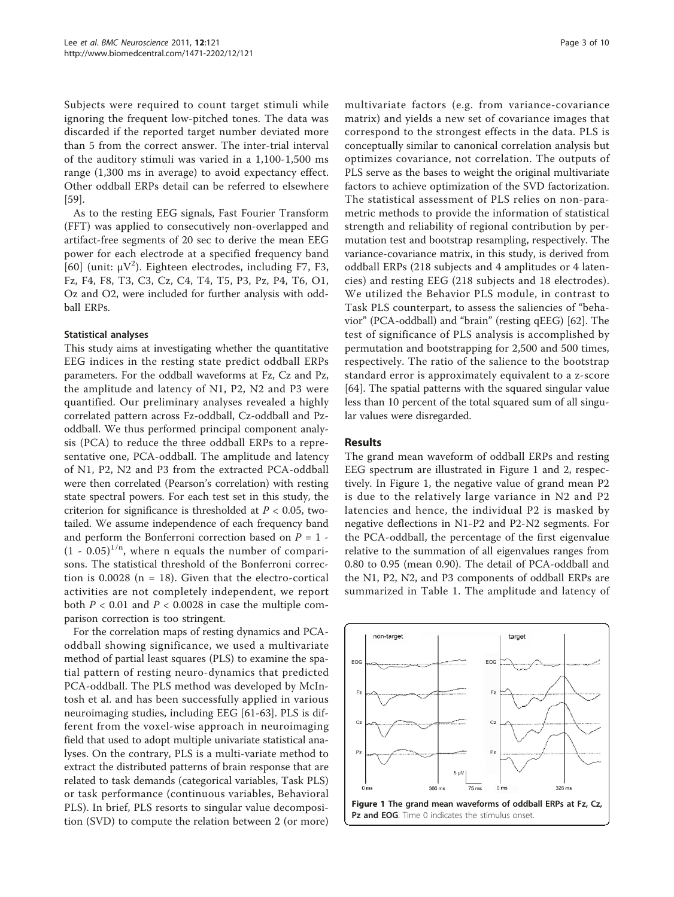Subjects were required to count target stimuli while ignoring the frequent low-pitched tones. The data was discarded if the reported target number deviated more than 5 from the correct answer. The inter-trial interval of the auditory stimuli was varied in a 1,100-1,500 ms range (1,300 ms in average) to avoid expectancy effect. Other oddball ERPs detail can be referred to elsewhere [[59\]](#page-8-0).

As to the resting EEG signals, Fast Fourier Transform (FFT) was applied to consecutively non-overlapped and artifact-free segments of 20 sec to derive the mean EEG power for each electrode at a specified frequency band [[60](#page-8-0)] (unit:  $\mu V^2$ ). Eighteen electrodes, including F7, F3, Fz, F4, F8, T3, C3, Cz, C4, T4, T5, P3, Pz, P4, T6, O1, Oz and O2, were included for further analysis with oddball ERPs.

#### Statistical analyses

This study aims at investigating whether the quantitative EEG indices in the resting state predict oddball ERPs parameters. For the oddball waveforms at Fz, Cz and Pz, the amplitude and latency of N1, P2, N2 and P3 were quantified. Our preliminary analyses revealed a highly correlated pattern across Fz-oddball, Cz-oddball and Pzoddball. We thus performed principal component analysis (PCA) to reduce the three oddball ERPs to a representative one, PCA-oddball. The amplitude and latency of N1, P2, N2 and P3 from the extracted PCA-oddball were then correlated (Pearson's correlation) with resting state spectral powers. For each test set in this study, the criterion for significance is thresholded at  $P < 0.05$ , twotailed. We assume independence of each frequency band and perform the Bonferroni correction based on  $P = 1$  - $(1 - 0.05)^{1/n}$ , where n equals the number of comparisons. The statistical threshold of the Bonferroni correction is  $0.0028$  (n = 18). Given that the electro-cortical activities are not completely independent, we report both  $P < 0.01$  and  $P < 0.0028$  in case the multiple comparison correction is too stringent.

For the correlation maps of resting dynamics and PCAoddball showing significance, we used a multivariate method of partial least squares (PLS) to examine the spatial pattern of resting neuro-dynamics that predicted PCA-oddball. The PLS method was developed by McIntosh et al. and has been successfully applied in various neuroimaging studies, including EEG [\[61](#page-8-0)-[63\]](#page-8-0). PLS is different from the voxel-wise approach in neuroimaging field that used to adopt multiple univariate statistical analyses. On the contrary, PLS is a multi-variate method to extract the distributed patterns of brain response that are related to task demands (categorical variables, Task PLS) or task performance (continuous variables, Behavioral PLS). In brief, PLS resorts to singular value decomposition (SVD) to compute the relation between 2 (or more) multivariate factors (e.g. from variance-covariance matrix) and yields a new set of covariance images that correspond to the strongest effects in the data. PLS is conceptually similar to canonical correlation analysis but optimizes covariance, not correlation. The outputs of PLS serve as the bases to weight the original multivariate factors to achieve optimization of the SVD factorization. The statistical assessment of PLS relies on non-parametric methods to provide the information of statistical strength and reliability of regional contribution by permutation test and bootstrap resampling, respectively. The variance-covariance matrix, in this study, is derived from oddball ERPs (218 subjects and 4 amplitudes or 4 latencies) and resting EEG (218 subjects and 18 electrodes). We utilized the Behavior PLS module, in contrast to Task PLS counterpart, to assess the saliencies of "behavior" (PCA-oddball) and "brain" (resting qEEG) [\[62](#page-8-0)]. The test of significance of PLS analysis is accomplished by permutation and bootstrapping for 2,500 and 500 times, respectively. The ratio of the salience to the bootstrap standard error is approximately equivalent to a z-score [[64\]](#page-8-0). The spatial patterns with the squared singular value less than 10 percent of the total squared sum of all singular values were disregarded.

#### Results

The grand mean waveform of oddball ERPs and resting EEG spectrum are illustrated in Figure 1 and [2,](#page-3-0) respectively. In Figure 1, the negative value of grand mean P2 is due to the relatively large variance in N2 and P2 latencies and hence, the individual P2 is masked by negative deflections in N1-P2 and P2-N2 segments. For the PCA-oddball, the percentage of the first eigenvalue relative to the summation of all eigenvalues ranges from 0.80 to 0.95 (mean 0.90). The detail of PCA-oddball and the N1, P2, N2, and P3 components of oddball ERPs are summarized in Table [1.](#page-3-0) The amplitude and latency of

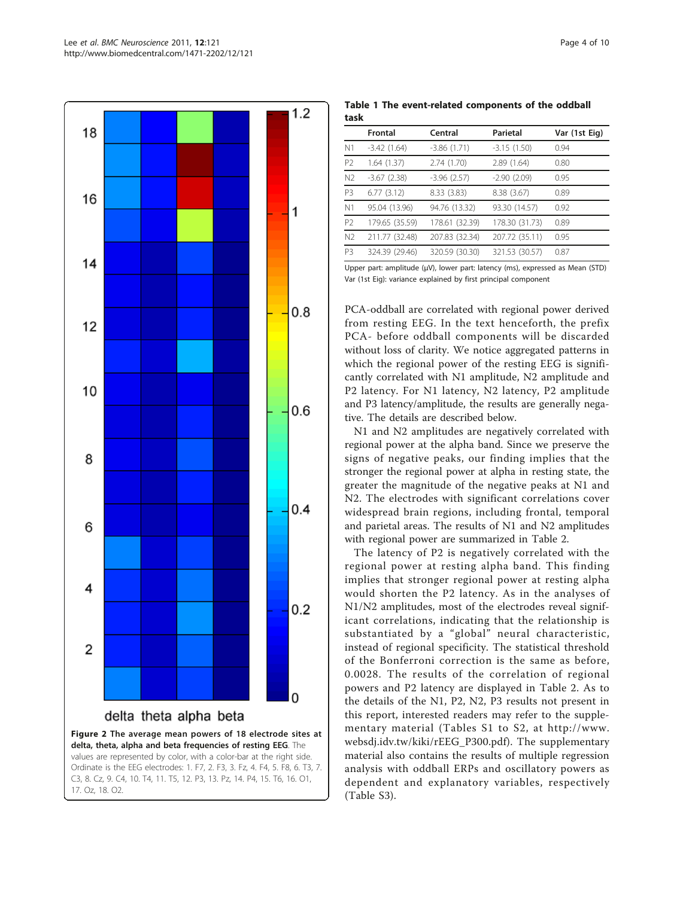<span id="page-3-0"></span>

Table 1 The event-related components of the oddball task

|    | <b>Frontal</b> | Central        | Parietal       | Var (1st Eig) |
|----|----------------|----------------|----------------|---------------|
| N1 | $-3.42(1.64)$  | $-3.86(1.71)$  | $-3.15(1.50)$  | 0.94          |
| P2 | 1.64 (1.37)    | 2.74 (1.70)    | 2.89 (1.64)    | 0.80          |
| N2 | $-3.67(2.38)$  | $-3.96$ (2.57) | $-2.90(2.09)$  | 0.95          |
| P3 | 6.77(3.12)     | 8.33 (3.83)    | 8.38 (3.67)    | 0.89          |
| N1 | 95.04 (13.96)  | 94.76 (13.32)  | 93.30 (14.57)  | 0.92          |
| P2 | 179.65 (35.59) | 178.61 (32.39) | 178.30 (31.73) | 0.89          |
| N2 | 211.77 (32.48) | 207.83 (32.34) | 207.72 (35.11) | 0.95          |
| P3 | 324.39 (29.46) | 320.59 (30.30) | 321.53 (30.57) | 0.87          |

Upper part: amplitude (μV), lower part: latency (ms), expressed as Mean (STD) Var (1st Eig): variance explained by first principal component

PCA-oddball are correlated with regional power derived from resting EEG. In the text henceforth, the prefix PCA- before oddball components will be discarded without loss of clarity. We notice aggregated patterns in which the regional power of the resting EEG is significantly correlated with N1 amplitude, N2 amplitude and P2 latency. For N1 latency, N2 latency, P2 amplitude and P3 latency/amplitude, the results are generally negative. The details are described below.

N1 and N2 amplitudes are negatively correlated with regional power at the alpha band. Since we preserve the signs of negative peaks, our finding implies that the stronger the regional power at alpha in resting state, the greater the magnitude of the negative peaks at N1 and N2. The electrodes with significant correlations cover widespread brain regions, including frontal, temporal and parietal areas. The results of N1 and N2 amplitudes with regional power are summarized in Table [2.](#page-4-0)

The latency of P2 is negatively correlated with the regional power at resting alpha band. This finding implies that stronger regional power at resting alpha would shorten the P2 latency. As in the analyses of N1/N2 amplitudes, most of the electrodes reveal significant correlations, indicating that the relationship is substantiated by a "global" neural characteristic, instead of regional specificity. The statistical threshold of the Bonferroni correction is the same as before, 0.0028. The results of the correlation of regional powers and P2 latency are displayed in Table [2.](#page-4-0) As to the details of the N1, P2, N2, P3 results not present in this report, interested readers may refer to the supplementary material (Tables S1 to S2, at [http://www.](http://www.websdj.idv.tw/kiki/rEEG_P300.pdf) [websdj.idv.tw/kiki/rEEG\\_P300.pdf\)](http://www.websdj.idv.tw/kiki/rEEG_P300.pdf). The supplementary material also contains the results of multiple regression analysis with oddball ERPs and oscillatory powers as dependent and explanatory variables, respectively (Table S3).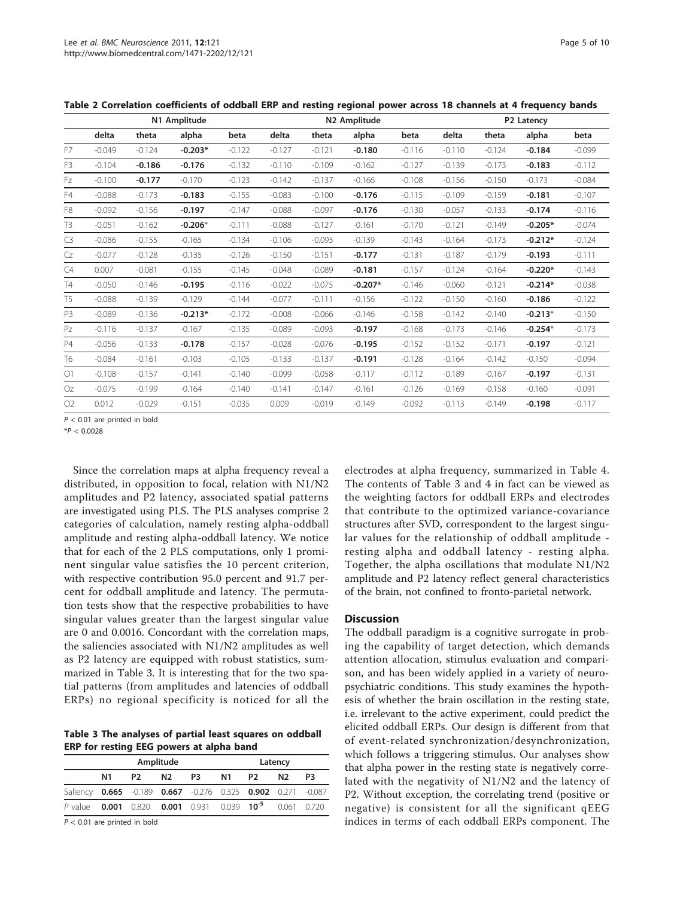|                |          |          | N1 Amplitude |          |          |          | N2 Amplitude |          |          |          | P2 Latency |          |
|----------------|----------|----------|--------------|----------|----------|----------|--------------|----------|----------|----------|------------|----------|
|                | delta    | theta    | alpha        | beta     | delta    | theta    | alpha        | beta     | delta    | theta    | alpha      | beta     |
| F7             | $-0.049$ | $-0.124$ | $-0.203*$    | $-0.122$ | $-0.127$ | $-0.121$ | $-0.180$     | $-0.116$ | $-0.110$ | $-0.124$ | $-0.184$   | $-0.099$ |
| F <sub>3</sub> | $-0.104$ | $-0.186$ | $-0.176$     | $-0.132$ | $-0.110$ | $-0.109$ | $-0.162$     | $-0.127$ | $-0.139$ | $-0.173$ | $-0.183$   | $-0.112$ |
| Fz             | $-0.100$ | $-0.177$ | $-0.170$     | $-0.123$ | $-0.142$ | $-0.137$ | $-0.166$     | $-0.108$ | $-0.156$ | $-0.150$ | $-0.173$   | $-0.084$ |
| F4             | $-0.088$ | $-0.173$ | $-0.183$     | $-0.155$ | $-0.083$ | $-0.100$ | $-0.176$     | $-0.115$ | $-0.109$ | $-0.159$ | $-0.181$   | $-0.107$ |
| F <sub>8</sub> | $-0.092$ | $-0.156$ | $-0.197$     | $-0.147$ | $-0.088$ | $-0.097$ | $-0.176$     | $-0.130$ | $-0.057$ | $-0.133$ | $-0.174$   | $-0.116$ |
| T3             | $-0.051$ | $-0.162$ | $-0.206*$    | $-0.111$ | $-0.088$ | $-0.127$ | $-0.161$     | $-0.170$ | $-0.121$ | $-0.149$ | $-0.205*$  | $-0.074$ |
| C <sub>3</sub> | $-0.086$ | $-0.155$ | $-0.165$     | $-0.134$ | $-0.106$ | $-0.093$ | $-0.139$     | $-0.143$ | $-0.164$ | $-0.173$ | $-0.212*$  | $-0.124$ |
| Cz             | $-0.077$ | $-0.128$ | $-0.135$     | $-0.126$ | $-0.150$ | $-0.151$ | $-0.177$     | $-0.131$ | $-0.187$ | $-0.179$ | $-0.193$   | $-0.111$ |
| C4             | 0.007    | $-0.081$ | $-0.155$     | $-0.145$ | $-0.048$ | $-0.089$ | $-0.181$     | $-0.157$ | $-0.124$ | $-0.164$ | $-0.220*$  | $-0.143$ |
| Τ4             | $-0.050$ | $-0.146$ | $-0.195$     | $-0.116$ | $-0.022$ | $-0.075$ | $-0.207*$    | $-0.146$ | $-0.060$ | $-0.121$ | $-0.214*$  | $-0.038$ |
| T5.            | $-0.088$ | $-0.139$ | $-0.129$     | $-0.144$ | $-0.077$ | $-0.111$ | $-0.156$     | $-0.122$ | $-0.150$ | $-0.160$ | $-0.186$   | $-0.122$ |
| P <sub>3</sub> | $-0.089$ | $-0.136$ | $-0.213*$    | $-0.172$ | $-0.008$ | $-0.066$ | $-0.146$     | $-0.158$ | $-0.142$ | $-0.140$ | $-0.213*$  | $-0.150$ |
| Pz             | $-0.116$ | $-0.137$ | $-0.167$     | $-0.135$ | $-0.089$ | $-0.093$ | $-0.197$     | $-0.168$ | $-0.173$ | $-0.146$ | $-0.254*$  | $-0.173$ |
| <b>P4</b>      | $-0.056$ | $-0.133$ | $-0.178$     | $-0.157$ | $-0.028$ | $-0.076$ | $-0.195$     | $-0.152$ | $-0.152$ | $-0.171$ | $-0.197$   | $-0.121$ |
| T6             | $-0.084$ | $-0.161$ | $-0.103$     | $-0.105$ | $-0.133$ | $-0.137$ | $-0.191$     | $-0.128$ | $-0.164$ | $-0.142$ | $-0.150$   | $-0.094$ |
| O <sub>1</sub> | $-0.108$ | $-0.157$ | $-0.141$     | $-0.140$ | $-0.099$ | $-0.058$ | $-0.117$     | $-0.112$ | $-0.189$ | $-0.167$ | $-0.197$   | $-0.131$ |
| Oz             | $-0.075$ | $-0.199$ | $-0.164$     | $-0.140$ | $-0.141$ | $-0.147$ | $-0.161$     | $-0.126$ | $-0.169$ | $-0.158$ | $-0.160$   | $-0.091$ |
| O <sub>2</sub> | 0.012    | $-0.029$ | $-0.151$     | $-0.035$ | 0.009    | $-0.019$ | $-0.149$     | $-0.092$ | $-0.113$ | $-0.149$ | $-0.198$   | $-0.117$ |

<span id="page-4-0"></span>Table 2 Correlation coefficients of oddball ERP and resting regional power across 18 channels at 4 frequency bands

 $P < 0.01$  are printed in bold

 $*P < 0.0028$ 

Since the correlation maps at alpha frequency reveal a distributed, in opposition to focal, relation with N1/N2 amplitudes and P2 latency, associated spatial patterns are investigated using PLS. The PLS analyses comprise 2 categories of calculation, namely resting alpha-oddball amplitude and resting alpha-oddball latency. We notice that for each of the 2 PLS computations, only 1 prominent singular value satisfies the 10 percent criterion, with respective contribution 95.0 percent and 91.7 percent for oddball amplitude and latency. The permutation tests show that the respective probabilities to have singular values greater than the largest singular value are 0 and 0.0016. Concordant with the correlation maps, the saliencies associated with N1/N2 amplitudes as well as P2 latency are equipped with robust statistics, summarized in Table 3. It is interesting that for the two spatial patterns (from amplitudes and latencies of oddball ERPs) no regional specificity is noticed for all the

Table 3 The analyses of partial least squares on oddball ERP for resting EEG powers at alpha band

| P3 N1 P2 | N2 | P3                                                                                                                                                    |
|----------|----|-------------------------------------------------------------------------------------------------------------------------------------------------------|
|          |    |                                                                                                                                                       |
|          |    |                                                                                                                                                       |
|          |    |                                                                                                                                                       |
|          |    | Saliency 0.665 -0.189 0.667 -0.276 0.325 0.902 0.271 -0.087<br>P value <b>0.001</b> 0.820 <b>0.001</b> 0.931 0.039 <b>10<sup>-5</sup></b> 0.061 0.720 |

 $P < 0.01$  are printed in bold

electrodes at alpha frequency, summarized in Table [4](#page-5-0). The contents of Table 3 and [4](#page-5-0) in fact can be viewed as the weighting factors for oddball ERPs and electrodes that contribute to the optimized variance-covariance structures after SVD, correspondent to the largest singular values for the relationship of oddball amplitude resting alpha and oddball latency - resting alpha. Together, the alpha oscillations that modulate N1/N2 amplitude and P2 latency reflect general characteristics of the brain, not confined to fronto-parietal network.

#### **Discussion**

The oddball paradigm is a cognitive surrogate in probing the capability of target detection, which demands attention allocation, stimulus evaluation and comparison, and has been widely applied in a variety of neuropsychiatric conditions. This study examines the hypothesis of whether the brain oscillation in the resting state, i.e. irrelevant to the active experiment, could predict the elicited oddball ERPs. Our design is different from that of event-related synchronization/desynchronization, which follows a triggering stimulus. Our analyses show that alpha power in the resting state is negatively correlated with the negativity of N1/N2 and the latency of P2. Without exception, the correlating trend (positive or negative) is consistent for all the significant qEEG indices in terms of each oddball ERPs component. The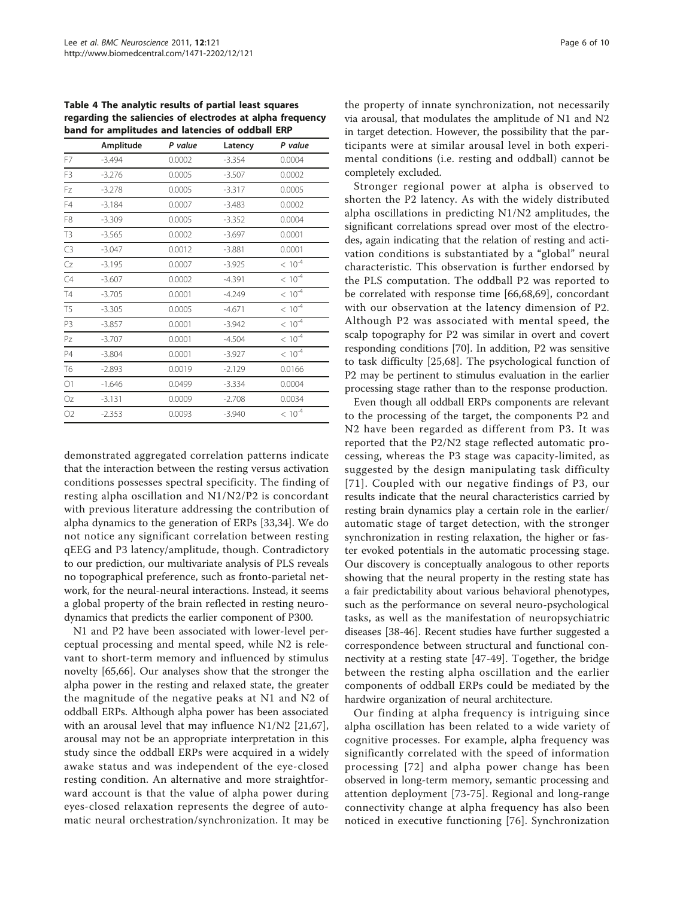<span id="page-5-0"></span>Table 4 The analytic results of partial least squares regarding the saliencies of electrodes at alpha frequency band for amplitudes and latencies of oddball ERP

|                | Amplitude | P value | Latency  | P value     |
|----------------|-----------|---------|----------|-------------|
| F7             | $-3.494$  | 0.0002  | $-3.354$ | 0.0004      |
| F3             | $-3.276$  | 0.0005  | $-3.507$ | 0.0002      |
| Fz             | $-3.278$  | 0.0005  | $-3.317$ | 0.0005      |
| F4             | $-3.184$  | 0.0007  | $-3.483$ | 0.0002      |
| F8             | $-3.309$  | 0.0005  | $-3.352$ | 0.0004      |
| T <sub>3</sub> | $-3.565$  | 0.0002  | $-3.697$ | 0.0001      |
| C3             | $-3.047$  | 0.0012  | $-3.881$ | 0.0001      |
| Cz             | $-3.195$  | 0.0007  | $-3.925$ | $< 10^{-4}$ |
| C4             | $-3.607$  | 0.0002  | $-4.391$ | $< 10^{-4}$ |
| <b>T4</b>      | $-3.705$  | 0.0001  | $-4.249$ | $< 10^{-4}$ |
| T <sub>5</sub> | $-3.305$  | 0.0005  | $-4.671$ | $< 10^{-4}$ |
| P <sub>3</sub> | $-3.857$  | 0.0001  | $-3.942$ | $< 10^{-4}$ |
| Pz             | $-3.707$  | 0.0001  | $-4.504$ | $< 10^{-4}$ |
| <b>P4</b>      | $-3.804$  | 0.0001  | $-3.927$ | $< 10^{-4}$ |
| T6             | $-2.893$  | 0.0019  | $-2.129$ | 0.0166      |
| O1             | $-1.646$  | 0.0499  | $-3.334$ | 0.0004      |
| Oz             | $-3.131$  | 0.0009  | $-2.708$ | 0.0034      |
| O2             | $-2.353$  | 0.0093  | $-3.940$ | $< 10^{-4}$ |

demonstrated aggregated correlation patterns indicate that the interaction between the resting versus activation conditions possesses spectral specificity. The finding of resting alpha oscillation and N1/N2/P2 is concordant with previous literature addressing the contribution of alpha dynamics to the generation of ERPs [\[33,34\]](#page-7-0). We do not notice any significant correlation between resting qEEG and P3 latency/amplitude, though. Contradictory to our prediction, our multivariate analysis of PLS reveals no topographical preference, such as fronto-parietal network, for the neural-neural interactions. Instead, it seems a global property of the brain reflected in resting neurodynamics that predicts the earlier component of P300.

N1 and P2 have been associated with lower-level perceptual processing and mental speed, while N2 is relevant to short-term memory and influenced by stimulus novelty [[65,66\]](#page-8-0). Our analyses show that the stronger the alpha power in the resting and relaxed state, the greater the magnitude of the negative peaks at N1 and N2 of oddball ERPs. Although alpha power has been associated with an arousal level that may influence N1/N2 [\[21](#page-7-0)[,67](#page-8-0)], arousal may not be an appropriate interpretation in this study since the oddball ERPs were acquired in a widely awake status and was independent of the eye-closed resting condition. An alternative and more straightforward account is that the value of alpha power during eyes-closed relaxation represents the degree of automatic neural orchestration/synchronization. It may be

the property of innate synchronization, not necessarily via arousal, that modulates the amplitude of N1 and N2 in target detection. However, the possibility that the participants were at similar arousal level in both experimental conditions (i.e. resting and oddball) cannot be completely excluded.

Stronger regional power at alpha is observed to shorten the P2 latency. As with the widely distributed alpha oscillations in predicting N1/N2 amplitudes, the significant correlations spread over most of the electrodes, again indicating that the relation of resting and activation conditions is substantiated by a "global" neural characteristic. This observation is further endorsed by the PLS computation. The oddball P2 was reported to be correlated with response time [[66,68,69\]](#page-8-0), concordant with our observation at the latency dimension of P2. Although P2 was associated with mental speed, the scalp topography for P2 was similar in overt and covert responding conditions [[70](#page-8-0)]. In addition, P2 was sensitive to task difficulty [[25,](#page-7-0)[68](#page-8-0)]. The psychological function of P2 may be pertinent to stimulus evaluation in the earlier processing stage rather than to the response production.

Even though all oddball ERPs components are relevant to the processing of the target, the components P2 and N2 have been regarded as different from P3. It was reported that the P2/N2 stage reflected automatic processing, whereas the P3 stage was capacity-limited, as suggested by the design manipulating task difficulty [[71](#page-8-0)]. Coupled with our negative findings of P3, our results indicate that the neural characteristics carried by resting brain dynamics play a certain role in the earlier/ automatic stage of target detection, with the stronger synchronization in resting relaxation, the higher or faster evoked potentials in the automatic processing stage. Our discovery is conceptually analogous to other reports showing that the neural property in the resting state has a fair predictability about various behavioral phenotypes, such as the performance on several neuro-psychological tasks, as well as the manifestation of neuropsychiatric diseases [[38](#page-8-0)-[46\]](#page-8-0). Recent studies have further suggested a correspondence between structural and functional connectivity at a resting state [[47-49\]](#page-8-0). Together, the bridge between the resting alpha oscillation and the earlier components of oddball ERPs could be mediated by the hardwire organization of neural architecture.

Our finding at alpha frequency is intriguing since alpha oscillation has been related to a wide variety of cognitive processes. For example, alpha frequency was significantly correlated with the speed of information processing [[72\]](#page-8-0) and alpha power change has been observed in long-term memory, semantic processing and attention deployment [\[73](#page-8-0)-[75\]](#page-8-0). Regional and long-range connectivity change at alpha frequency has also been noticed in executive functioning [\[76\]](#page-8-0). Synchronization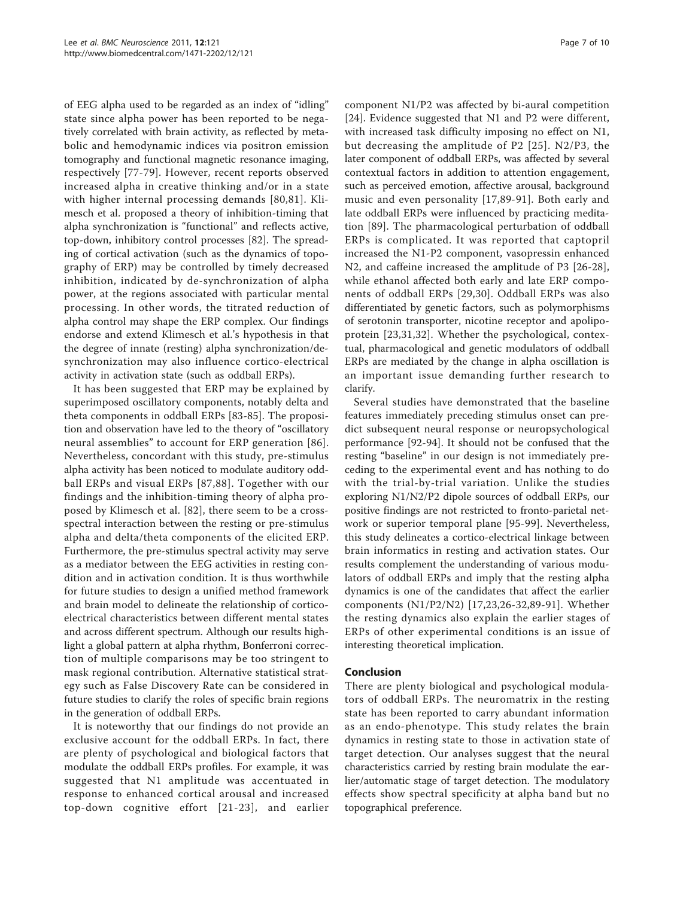of EEG alpha used to be regarded as an index of "idling" state since alpha power has been reported to be negatively correlated with brain activity, as reflected by metabolic and hemodynamic indices via positron emission tomography and functional magnetic resonance imaging, respectively [[77](#page-8-0)-[79](#page-8-0)]. However, recent reports observed increased alpha in creative thinking and/or in a state with higher internal processing demands [[80](#page-8-0),[81](#page-8-0)]. Klimesch et al. proposed a theory of inhibition-timing that alpha synchronization is "functional" and reflects active, top-down, inhibitory control processes [\[82](#page-8-0)]. The spreading of cortical activation (such as the dynamics of topography of ERP) may be controlled by timely decreased inhibition, indicated by de-synchronization of alpha power, at the regions associated with particular mental processing. In other words, the titrated reduction of alpha control may shape the ERP complex. Our findings endorse and extend Klimesch et al.'s hypothesis in that the degree of innate (resting) alpha synchronization/desynchronization may also influence cortico-electrical activity in activation state (such as oddball ERPs).

It has been suggested that ERP may be explained by superimposed oscillatory components, notably delta and theta components in oddball ERPs [[83-85](#page-8-0)]. The proposition and observation have led to the theory of "oscillatory neural assemblies" to account for ERP generation [[86](#page-9-0)]. Nevertheless, concordant with this study, pre-stimulus alpha activity has been noticed to modulate auditory oddball ERPs and visual ERPs [[87](#page-9-0),[88](#page-9-0)]. Together with our findings and the inhibition-timing theory of alpha proposed by Klimesch et al. [[82\]](#page-8-0), there seem to be a crossspectral interaction between the resting or pre-stimulus alpha and delta/theta components of the elicited ERP. Furthermore, the pre-stimulus spectral activity may serve as a mediator between the EEG activities in resting condition and in activation condition. It is thus worthwhile for future studies to design a unified method framework and brain model to delineate the relationship of corticoelectrical characteristics between different mental states and across different spectrum. Although our results highlight a global pattern at alpha rhythm, Bonferroni correction of multiple comparisons may be too stringent to mask regional contribution. Alternative statistical strategy such as False Discovery Rate can be considered in future studies to clarify the roles of specific brain regions in the generation of oddball ERPs.

It is noteworthy that our findings do not provide an exclusive account for the oddball ERPs. In fact, there are plenty of psychological and biological factors that modulate the oddball ERPs profiles. For example, it was suggested that N1 amplitude was accentuated in response to enhanced cortical arousal and increased top-down cognitive effort [[21-23\]](#page-7-0), and earlier component N1/P2 was affected by bi-aural competition [[24\]](#page-7-0). Evidence suggested that N1 and P2 were different, with increased task difficulty imposing no effect on N1, but decreasing the amplitude of P2 [[25\]](#page-7-0). N2/P3, the later component of oddball ERPs, was affected by several contextual factors in addition to attention engagement, such as perceived emotion, affective arousal, background music and even personality [\[17,](#page-7-0)[89](#page-9-0)-[91](#page-9-0)]. Both early and late oddball ERPs were influenced by practicing meditation [\[89](#page-9-0)]. The pharmacological perturbation of oddball ERPs is complicated. It was reported that captopril increased the N1-P2 component, vasopressin enhanced N2, and caffeine increased the amplitude of P3 [[26-28](#page-7-0)], while ethanol affected both early and late ERP components of oddball ERPs [[29,30](#page-7-0)]. Oddball ERPs was also differentiated by genetic factors, such as polymorphisms of serotonin transporter, nicotine receptor and apolipoprotein [\[23](#page-7-0),[31,32](#page-7-0)]. Whether the psychological, contextual, pharmacological and genetic modulators of oddball ERPs are mediated by the change in alpha oscillation is an important issue demanding further research to clarify.

Several studies have demonstrated that the baseline features immediately preceding stimulus onset can predict subsequent neural response or neuropsychological performance [\[92](#page-9-0)-[94\]](#page-9-0). It should not be confused that the resting "baseline" in our design is not immediately preceding to the experimental event and has nothing to do with the trial-by-trial variation. Unlike the studies exploring N1/N2/P2 dipole sources of oddball ERPs, our positive findings are not restricted to fronto-parietal network or superior temporal plane [\[95](#page-9-0)-[99](#page-9-0)]. Nevertheless, this study delineates a cortico-electrical linkage between brain informatics in resting and activation states. Our results complement the understanding of various modulators of oddball ERPs and imply that the resting alpha dynamics is one of the candidates that affect the earlier components (N1/P2/N2) [[17](#page-7-0),[23,26](#page-7-0)-[32](#page-7-0)[,89-91](#page-9-0)]. Whether the resting dynamics also explain the earlier stages of ERPs of other experimental conditions is an issue of interesting theoretical implication.

# Conclusion

There are plenty biological and psychological modulators of oddball ERPs. The neuromatrix in the resting state has been reported to carry abundant information as an endo-phenotype. This study relates the brain dynamics in resting state to those in activation state of target detection. Our analyses suggest that the neural characteristics carried by resting brain modulate the earlier/automatic stage of target detection. The modulatory effects show spectral specificity at alpha band but no topographical preference.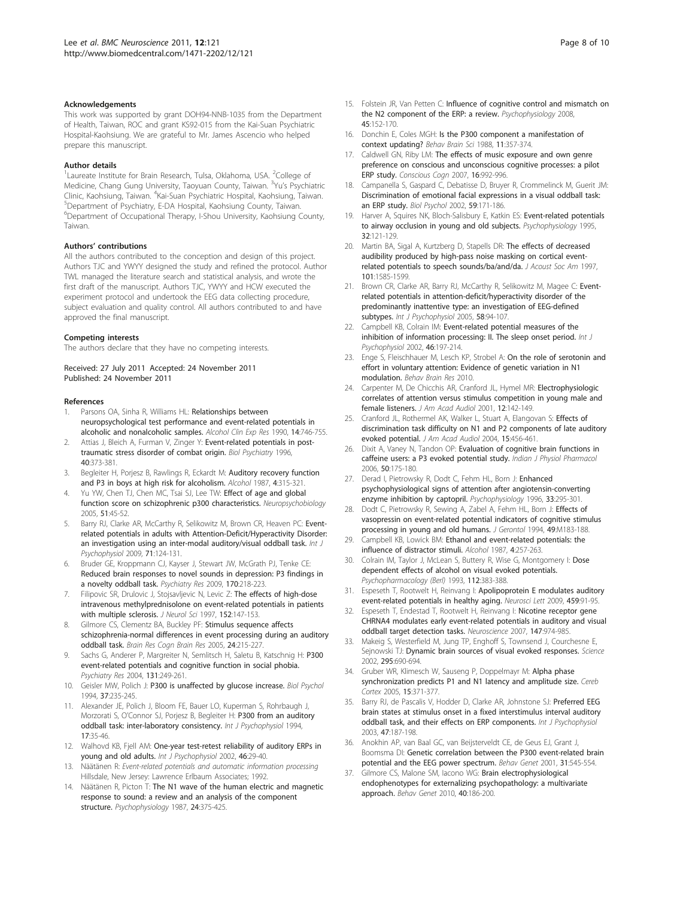#### <span id="page-7-0"></span>Acknowledgements

This work was supported by grant DOH94-NNB-1035 from the Department of Health, Taiwan, ROC and grant KS92-015 from the Kai-Suan Psychiatric Hospital-Kaohsiung. We are grateful to Mr. James Ascencio who helped prepare this manuscript.

#### Author details

<sup>1</sup> Laureate Institute for Brain Research, Tulsa, Oklahoma, USA. <sup>2</sup> College of Medicine, Chang Gung University, Taoyuan County, Taiwan. <sup>3</sup>Yu's Psychiatric Clinic, Kaohsiung, Taiwan. <sup>4</sup>Kai-Suan Psychiatric Hospital, Kaohsiung, Taiwan.<br><sup>5</sup>Dopartment of Psychiatry, E.D.A. Hospital, Kaohsiung, County, Taiwan. Department of Psychiatry, E-DA Hospital, Kaohsiung County, Taiwan. 6 Department of Occupational Therapy, I-Shou University, Kaohsiung County, Taiwan.

#### Authors' contributions

All the authors contributed to the conception and design of this project. Authors TJC and YWYY designed the study and refined the protocol. Author TWL managed the literature search and statistical analysis, and wrote the first draft of the manuscript. Authors TJC, YWYY and HCW executed the experiment protocol and undertook the EEG data collecting procedure, subject evaluation and quality control. All authors contributed to and have approved the final manuscript.

#### Competing interests

The authors declare that they have no competing interests.

Received: 27 July 2011 Accepted: 24 November 2011 Published: 24 November 2011

#### References

- Parsons OA, Sinha R, Williams HL: [Relationships between](http://www.ncbi.nlm.nih.gov/pubmed/2264605?dopt=Abstract) [neuropsychological test performance and event-related potentials in](http://www.ncbi.nlm.nih.gov/pubmed/2264605?dopt=Abstract) [alcoholic and nonalcoholic samples.](http://www.ncbi.nlm.nih.gov/pubmed/2264605?dopt=Abstract) Alcohol Clin Exp Res 1990, 14:746-755.
- 2. Attias J, Bleich A, Furman V, Zinger Y: [Event-related potentials in post](http://www.ncbi.nlm.nih.gov/pubmed/8874838?dopt=Abstract)[traumatic stress disorder of combat origin.](http://www.ncbi.nlm.nih.gov/pubmed/8874838?dopt=Abstract) Biol Psychiatry 1996, 40:373-381.
- 3. Begleiter H, Porjesz B, Rawlings R, Eckardt M: [Auditory recovery function](http://www.ncbi.nlm.nih.gov/pubmed/3620101?dopt=Abstract) [and P3 in boys at high risk for alcoholism.](http://www.ncbi.nlm.nih.gov/pubmed/3620101?dopt=Abstract) Alcohol 1987, 4:315-321.
- 4. Yu YW, Chen TJ, Chen MC, Tsai SJ, Lee TW: [Effect of age and global](http://www.ncbi.nlm.nih.gov/pubmed/15627813?dopt=Abstract) [function score on schizophrenic p300 characteristics.](http://www.ncbi.nlm.nih.gov/pubmed/15627813?dopt=Abstract) Neuropsychobiology 2005, 51:45-52.
- Barry RJ, Clarke AR, McCarthy R, Selikowitz M, Brown CR, Heaven PC: [Event](http://www.ncbi.nlm.nih.gov/pubmed/19022305?dopt=Abstract)[related potentials in adults with Attention-Deficit/Hyperactivity Disorder:](http://www.ncbi.nlm.nih.gov/pubmed/19022305?dopt=Abstract) [an investigation using an inter-modal auditory/visual oddball task.](http://www.ncbi.nlm.nih.gov/pubmed/19022305?dopt=Abstract) Int J Psychophysiol 2009, 71:124-131.
- 6. Bruder GE, Kroppmann CJ, Kayser J, Stewart JW, McGrath PJ, Tenke CE: [Reduced brain responses to novel sounds in depression: P3 findings in](http://www.ncbi.nlm.nih.gov/pubmed/19900720?dopt=Abstract) [a novelty oddball task.](http://www.ncbi.nlm.nih.gov/pubmed/19900720?dopt=Abstract) Psychiatry Res 2009, 170:218-223.
- Filipovic SR, Drulovic J, Stojsavljevic N, Levic Z: [The effects of high-dose](http://www.ncbi.nlm.nih.gov/pubmed/9415535?dopt=Abstract) [intravenous methylprednisolone on event-related potentials in patients](http://www.ncbi.nlm.nih.gov/pubmed/9415535?dopt=Abstract) [with multiple sclerosis.](http://www.ncbi.nlm.nih.gov/pubmed/9415535?dopt=Abstract) J Neurol Sci 1997, 152:147-153.
- 8. Gilmore CS, Clementz BA, Buckley PF: [Stimulus sequence affects](http://www.ncbi.nlm.nih.gov/pubmed/15993760?dopt=Abstract) [schizophrenia-normal differences in event processing during an auditory](http://www.ncbi.nlm.nih.gov/pubmed/15993760?dopt=Abstract) [oddball task.](http://www.ncbi.nlm.nih.gov/pubmed/15993760?dopt=Abstract) Brain Res Cogn Brain Res 2005, 24:215-227.
- Sachs G, Anderer P, Margreiter N, Semlitsch H, Saletu B, Katschnig H: [P300](http://www.ncbi.nlm.nih.gov/pubmed/15465294?dopt=Abstract) [event-related potentials and cognitive function in social phobia.](http://www.ncbi.nlm.nih.gov/pubmed/15465294?dopt=Abstract) Psychiatry Res 2004, 131:249-261.
- 10. Geisler MW, Polich J: [P300 is unaffected by glucose increase.](http://www.ncbi.nlm.nih.gov/pubmed/7948468?dopt=Abstract) Biol Psychol 1994, 37:235-245.
- 11. Alexander JE, Polich J, Bloom FE, Bauer LO, Kuperman S, Rohrbaugh J, Morzorati S, O'Connor SJ, Porjesz B, Begleiter H: [P300 from an auditory](http://www.ncbi.nlm.nih.gov/pubmed/7961052?dopt=Abstract) [oddball task: inter-laboratory consistency.](http://www.ncbi.nlm.nih.gov/pubmed/7961052?dopt=Abstract) Int J Psychophysiol 1994, 17:35-46.
- 12. Walhovd KB, Fjell AM: [One-year test-retest reliability of auditory ERPs in](http://www.ncbi.nlm.nih.gov/pubmed/12374644?dopt=Abstract) [young and old adults.](http://www.ncbi.nlm.nih.gov/pubmed/12374644?dopt=Abstract) Int J Psychophysiol 2002, 46:29-40.
- 13. Näätänen R: Event-related potentials and automatic information processing Hillsdale, New Jersey: Lawrence Erlbaum Associates; 1992.
- 14. Näätänen R, Picton T: [The N1 wave of the human electric and magnetic](http://www.ncbi.nlm.nih.gov/pubmed/3615753?dopt=Abstract) [response to sound: a review and an analysis of the component](http://www.ncbi.nlm.nih.gov/pubmed/3615753?dopt=Abstract) [structure.](http://www.ncbi.nlm.nih.gov/pubmed/3615753?dopt=Abstract) Psychophysiology 1987, 24:375-425.
- Page 8 of 10
- 15. Folstein JR, Van Petten C: [Influence of cognitive control and mismatch on](http://www.ncbi.nlm.nih.gov/pubmed/17850238?dopt=Abstract) [the N2 component of the ERP: a review.](http://www.ncbi.nlm.nih.gov/pubmed/17850238?dopt=Abstract) Psychophysiology 2008, 45:152-170.
- 16. Donchin E, Coles MGH: Is the P300 component a manifestation of context updating? Behav Brain Sci 1988, 11:357-374.
- 17. Caldwell GN, Riby LM: [The effects of music exposure and own genre](http://www.ncbi.nlm.nih.gov/pubmed/16931056?dopt=Abstract) [preference on conscious and unconscious cognitive processes: a pilot](http://www.ncbi.nlm.nih.gov/pubmed/16931056?dopt=Abstract) [ERP study.](http://www.ncbi.nlm.nih.gov/pubmed/16931056?dopt=Abstract) Conscious Cogn 2007, 16:992-996.
- 18. Campanella S, Gaspard C, Debatisse D, Bruyer R, Crommelinck M, Guerit JM: [Discrimination of emotional facial expressions in a visual oddball task:](http://www.ncbi.nlm.nih.gov/pubmed/12009560?dopt=Abstract) [an ERP study.](http://www.ncbi.nlm.nih.gov/pubmed/12009560?dopt=Abstract) Biol Psychol 2002, 59:171-186.
- 19. Harver A, Squires NK, Bloch-Salisbury E, Katkin ES: [Event-related potentials](http://www.ncbi.nlm.nih.gov/pubmed/7630976?dopt=Abstract) [to airway occlusion in young and old subjects.](http://www.ncbi.nlm.nih.gov/pubmed/7630976?dopt=Abstract) Psychophysiology 1995, 32:121-129.
- 20. Martin BA, Sigal A, Kurtzberg D, Stapells DR: [The effects of decreased](http://www.ncbi.nlm.nih.gov/pubmed/9069627?dopt=Abstract) [audibility produced by high-pass noise masking on cortical event](http://www.ncbi.nlm.nih.gov/pubmed/9069627?dopt=Abstract)[related potentials to speech sounds/ba/and/da.](http://www.ncbi.nlm.nih.gov/pubmed/9069627?dopt=Abstract) J Acoust Soc Am 1997, 101:1585-1599.
- 21. Brown CR, Clarke AR, Barry RJ, McCarthy R, Selikowitz M, Magee C: [Event](http://www.ncbi.nlm.nih.gov/pubmed/15936105?dopt=Abstract)[related potentials in attention-deficit/hyperactivity disorder of the](http://www.ncbi.nlm.nih.gov/pubmed/15936105?dopt=Abstract) [predominantly inattentive type: an investigation of EEG-defined](http://www.ncbi.nlm.nih.gov/pubmed/15936105?dopt=Abstract) [subtypes.](http://www.ncbi.nlm.nih.gov/pubmed/15936105?dopt=Abstract) Int J Psychophysiol 2005, 58:94-107.
- 22. Campbell KB, Colrain IM: [Event-related potential measures of the](http://www.ncbi.nlm.nih.gov/pubmed/12445948?dopt=Abstract) [inhibition of information processing: II. The sleep onset period.](http://www.ncbi.nlm.nih.gov/pubmed/12445948?dopt=Abstract) Int J Psychophysiol 2002, 46:197-214.
- 23. Enge S, Fleischhauer M, Lesch KP, Strobel A: On the role of serotonin and effort in voluntary attention: Evidence of genetic variation in N1 modulation. Behav Brain Res 2010.
- 24. Carpenter M, De Chicchis AR, Cranford JL, Hymel MR: [Electrophysiologic](http://www.ncbi.nlm.nih.gov/pubmed/11316051?dopt=Abstract) [correlates of attention versus stimulus competition in young male and](http://www.ncbi.nlm.nih.gov/pubmed/11316051?dopt=Abstract) [female listeners.](http://www.ncbi.nlm.nih.gov/pubmed/11316051?dopt=Abstract) J Am Acad Audiol 2001, 12:142-149.
- 25. Cranford JL, Rothermel AK, Walker L, Stuart A, Elangovan S: [Effects of](http://www.ncbi.nlm.nih.gov/pubmed/15341226?dopt=Abstract) [discrimination task difficulty on N1 and P2 components of late auditory](http://www.ncbi.nlm.nih.gov/pubmed/15341226?dopt=Abstract) [evoked potential.](http://www.ncbi.nlm.nih.gov/pubmed/15341226?dopt=Abstract) J Am Acad Audiol 2004, 15:456-461.
- 26. Dixit A, Vaney N, Tandon OP: [Evaluation of cognitive brain functions in](http://www.ncbi.nlm.nih.gov/pubmed/17051738?dopt=Abstract) [caffeine users: a P3 evoked potential study.](http://www.ncbi.nlm.nih.gov/pubmed/17051738?dopt=Abstract) Indian J Physiol Pharmacol 2006, 50:175-180.
- 27. Derad I, Pietrowsky R, Dodt C, Fehm HL, Born J: [Enhanced](http://www.ncbi.nlm.nih.gov/pubmed/8936398?dopt=Abstract) [psychophysiological signs of attention after angiotensin-converting](http://www.ncbi.nlm.nih.gov/pubmed/8936398?dopt=Abstract) [enzyme inhibition by captopril.](http://www.ncbi.nlm.nih.gov/pubmed/8936398?dopt=Abstract) Psychophysiology 1996, 33:295-301.
- 28. Dodt C, Pietrowsky R, Sewing A, Zabel A, Fehm HL, Born J: [Effects of](http://www.ncbi.nlm.nih.gov/pubmed/8014393?dopt=Abstract) [vasopressin on event-related potential indicators of cognitive stimulus](http://www.ncbi.nlm.nih.gov/pubmed/8014393?dopt=Abstract) [processing in young and old humans.](http://www.ncbi.nlm.nih.gov/pubmed/8014393?dopt=Abstract) J Gerontol 1994, 49:M183-188.
- 29. Campbell KB, Lowick BM: [Ethanol and event-related potentials: the](http://www.ncbi.nlm.nih.gov/pubmed/3620094?dopt=Abstract) [influence of distractor stimuli.](http://www.ncbi.nlm.nih.gov/pubmed/3620094?dopt=Abstract) Alcohol 1987, 4:257-263.
- 30. Colrain IM, Taylor J, McLean S, Buttery R, Wise G, Montgomery I: Dose dependent effects of alcohol on visual evoked potentials. Psychopharmacology (Berl) 1993, 112:383-388.
- 31. Espeseth T, Rootwelt H, Reinvang I: [Apolipoprotein E modulates auditory](http://www.ncbi.nlm.nih.gov/pubmed/19409447?dopt=Abstract) [event-related potentials in healthy aging.](http://www.ncbi.nlm.nih.gov/pubmed/19409447?dopt=Abstract) Neurosci Lett 2009, 459:91-95.
- 32. Espeseth T, Endestad T, Rootwelt H, Reinvang I: [Nicotine receptor gene](http://www.ncbi.nlm.nih.gov/pubmed/17590520?dopt=Abstract) [CHRNA4 modulates early event-related potentials in auditory and visual](http://www.ncbi.nlm.nih.gov/pubmed/17590520?dopt=Abstract) [oddball target detection tasks.](http://www.ncbi.nlm.nih.gov/pubmed/17590520?dopt=Abstract) Neuroscience 2007, 147:974-985.
- 33. Makeig S, Westerfield M, Jung TP, Enghoff S, Townsend J, Courchesne E, Sejnowski TJ: [Dynamic brain sources of visual evoked responses.](http://www.ncbi.nlm.nih.gov/pubmed/11809976?dopt=Abstract) Science 2002, 295:690-694.
- 34. Gruber WR, Klimesch W, Sauseng P, Doppelmayr M: [Alpha phase](http://www.ncbi.nlm.nih.gov/pubmed/15749980?dopt=Abstract) [synchronization predicts P1 and N1 latency and amplitude size.](http://www.ncbi.nlm.nih.gov/pubmed/15749980?dopt=Abstract) Cereb Cortex 2005, 15:371-377.
- 35. Barry RJ, de Pascalis V, Hodder D, Clarke AR, Johnstone SJ: [Preferred EEG](http://www.ncbi.nlm.nih.gov/pubmed/12663064?dopt=Abstract) [brain states at stimulus onset in a fixed interstimulus interval auditory](http://www.ncbi.nlm.nih.gov/pubmed/12663064?dopt=Abstract) [oddball task, and their effects on ERP components.](http://www.ncbi.nlm.nih.gov/pubmed/12663064?dopt=Abstract) Int J Psychophysiol 2003, 47:187-198.
- 36. Anokhin AP, van Baal GC, van Beijsterveldt CE, de Geus EJ, Grant J, Boomsma DI: [Genetic correlation between the P300 event-related brain](http://www.ncbi.nlm.nih.gov/pubmed/11838532?dopt=Abstract) [potential and the EEG power spectrum.](http://www.ncbi.nlm.nih.gov/pubmed/11838532?dopt=Abstract) Behav Genet 2001, 31:545-554.
- 37. Gilmore CS, Malone SM, Iacono WG: [Brain electrophysiological](http://www.ncbi.nlm.nih.gov/pubmed/20155392?dopt=Abstract) [endophenotypes for externalizing psychopathology: a multivariate](http://www.ncbi.nlm.nih.gov/pubmed/20155392?dopt=Abstract) [approach.](http://www.ncbi.nlm.nih.gov/pubmed/20155392?dopt=Abstract) Behav Genet 2010, 40:186-200.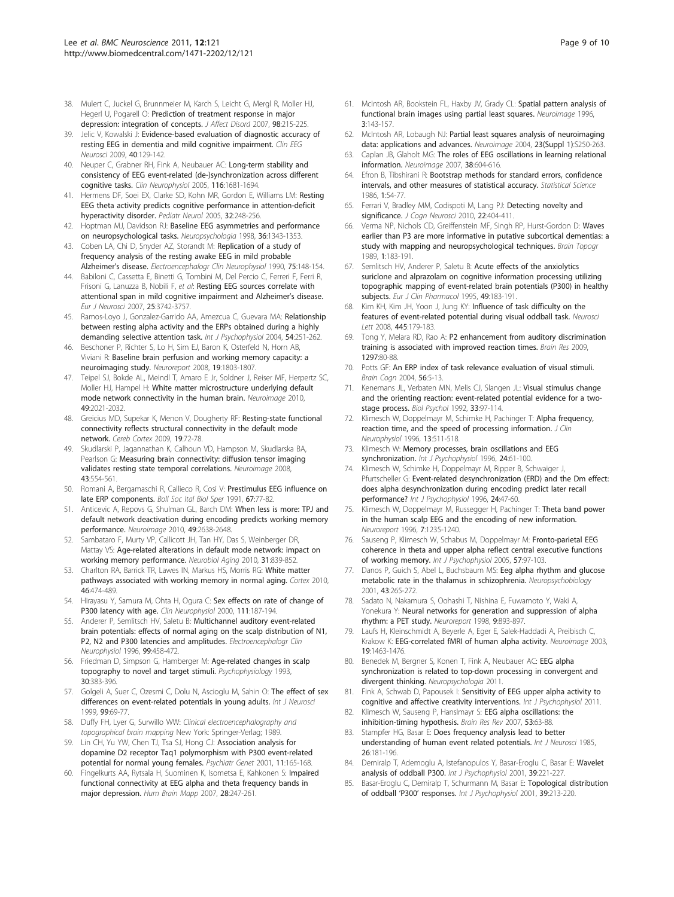- <span id="page-8-0"></span>38. Mulert C, Juckel G, Brunnmeier M, Karch S, Leicht G, Mergl R, Moller HJ, Hegerl U, Pogarell O: [Prediction of treatment response in major](http://www.ncbi.nlm.nih.gov/pubmed/16996140?dopt=Abstract) [depression: integration of concepts.](http://www.ncbi.nlm.nih.gov/pubmed/16996140?dopt=Abstract) J Affect Disord 2007, 98:215-225.
- 39. Jelic V, Kowalski J: [Evidence-based evaluation of diagnostic accuracy of](http://www.ncbi.nlm.nih.gov/pubmed/19534305?dopt=Abstract) [resting EEG in dementia and mild cognitive impairment.](http://www.ncbi.nlm.nih.gov/pubmed/19534305?dopt=Abstract) Clin EEG Neurosci 2009, 40:129-142.
- 40. Neuper C, Grabner RH, Fink A, Neubauer AC: [Long-term stability and](http://www.ncbi.nlm.nih.gov/pubmed/15922658?dopt=Abstract) [consistency of EEG event-related \(de-\)synchronization across different](http://www.ncbi.nlm.nih.gov/pubmed/15922658?dopt=Abstract) [cognitive tasks.](http://www.ncbi.nlm.nih.gov/pubmed/15922658?dopt=Abstract) Clin Neurophysiol 2005, 116:1681-1694.
- 41. Hermens DF, Soei EX, Clarke SD, Kohn MR, Gordon E, Williams LM: [Resting](http://www.ncbi.nlm.nih.gov/pubmed/15797181?dopt=Abstract) [EEG theta activity predicts cognitive performance in attention-deficit](http://www.ncbi.nlm.nih.gov/pubmed/15797181?dopt=Abstract) [hyperactivity disorder.](http://www.ncbi.nlm.nih.gov/pubmed/15797181?dopt=Abstract) Pediatr Neurol 2005, 32:248-256.
- 42. Hoptman MJ, Davidson RJ: [Baseline EEG asymmetries and performance](http://www.ncbi.nlm.nih.gov/pubmed/9863688?dopt=Abstract) [on neuropsychological tasks.](http://www.ncbi.nlm.nih.gov/pubmed/9863688?dopt=Abstract) Neuropsychologia 1998, 36:1343-1353.
- 43. Coben LA, Chi D, Snyder AZ, Storandt M: [Replication of a study of](http://www.ncbi.nlm.nih.gov/pubmed/1689638?dopt=Abstract) [frequency analysis of the resting awake EEG in mild probable](http://www.ncbi.nlm.nih.gov/pubmed/1689638?dopt=Abstract) [Alzheimer](http://www.ncbi.nlm.nih.gov/pubmed/1689638?dopt=Abstract)'s disease. Electroencephalogr Clin Neurophysiol 1990, 75:148-154.
- 44. Babiloni C, Cassetta E, Binetti G, Tombini M, Del Percio C, Ferreri F, Ferri R, Frisoni G, Lanuzza B, Nobili F, et al: [Resting EEG sources correlate with](http://www.ncbi.nlm.nih.gov/pubmed/17610594?dopt=Abstract) [attentional span in mild cognitive impairment and Alzheimer](http://www.ncbi.nlm.nih.gov/pubmed/17610594?dopt=Abstract)'s disease. Eur J Neurosci 2007, 25:3742-3757.
- 45. Ramos-Loyo J, Gonzalez-Garrido AA, Amezcua C, Guevara MA: [Relationship](http://www.ncbi.nlm.nih.gov/pubmed/15331216?dopt=Abstract) [between resting alpha activity and the ERPs obtained during a highly](http://www.ncbi.nlm.nih.gov/pubmed/15331216?dopt=Abstract) [demanding selective attention task.](http://www.ncbi.nlm.nih.gov/pubmed/15331216?dopt=Abstract) Int J Psychophysiol 2004, 54:251-262.
- 46. Beschoner P, Richter S, Lo H, Sim EJ, Baron K, Osterfeld N, Horn AB, Viviani R: [Baseline brain perfusion and working memory capacity: a](http://www.ncbi.nlm.nih.gov/pubmed/18978646?dopt=Abstract) [neuroimaging study.](http://www.ncbi.nlm.nih.gov/pubmed/18978646?dopt=Abstract) Neuroreport 2008, 19:1803-1807.
- 47. Teipel SJ, Bokde AL, Meindl T, Amaro E Jr, Soldner J, Reiser MF, Herpertz SC, Moller HJ, Hampel H: [White matter microstructure underlying default](http://www.ncbi.nlm.nih.gov/pubmed/19878723?dopt=Abstract) [mode network connectivity in the human brain.](http://www.ncbi.nlm.nih.gov/pubmed/19878723?dopt=Abstract) Neuroimage 2010, 49:2021-2032.
- 48. Greicius MD, Supekar K, Menon V, Dougherty RF: [Resting-state functional](http://www.ncbi.nlm.nih.gov/pubmed/18403396?dopt=Abstract) [connectivity reflects structural connectivity in the default mode](http://www.ncbi.nlm.nih.gov/pubmed/18403396?dopt=Abstract) [network.](http://www.ncbi.nlm.nih.gov/pubmed/18403396?dopt=Abstract) Cereb Cortex 2009, 19:72-78.
- 49. Skudlarski P, Jagannathan K, Calhoun VD, Hampson M, Skudlarska BA, Pearlson G: [Measuring brain connectivity: diffusion tensor imaging](http://www.ncbi.nlm.nih.gov/pubmed/18771736?dopt=Abstract) [validates resting state temporal correlations.](http://www.ncbi.nlm.nih.gov/pubmed/18771736?dopt=Abstract) Neuroimage 2008, 43:554-561.
- 50. Romani A, Bergamaschi R, Callieco R, Cosi V: [Prestimulus EEG influence on](http://www.ncbi.nlm.nih.gov/pubmed/1888475?dopt=Abstract) [late ERP components.](http://www.ncbi.nlm.nih.gov/pubmed/1888475?dopt=Abstract) Boll Soc Ital Biol Sper 1991, 67:77-82.
- 51. Anticevic A, Repovs G, Shulman GL, Barch DM: [When less is more: TPJ and](http://www.ncbi.nlm.nih.gov/pubmed/19913622?dopt=Abstract) [default network deactivation during encoding predicts working memory](http://www.ncbi.nlm.nih.gov/pubmed/19913622?dopt=Abstract) [performance.](http://www.ncbi.nlm.nih.gov/pubmed/19913622?dopt=Abstract) Neuroimage 2010, 49:2638-2648.
- 52. Sambataro F, Murty VP, Callicott JH, Tan HY, Das S, Weinberger DR, Mattay VS: [Age-related alterations in default mode network: impact on](http://www.ncbi.nlm.nih.gov/pubmed/18674847?dopt=Abstract) [working memory performance.](http://www.ncbi.nlm.nih.gov/pubmed/18674847?dopt=Abstract) Neurobiol Aging 2010, 31:839-852.
- 53. Charlton RA, Barrick TR, Lawes IN, Markus HS, Morris RG: [White matter](http://www.ncbi.nlm.nih.gov/pubmed/19666169?dopt=Abstract) [pathways associated with working memory in normal aging.](http://www.ncbi.nlm.nih.gov/pubmed/19666169?dopt=Abstract) Cortex 2010, 46:474-489.
- 54. Hirayasu Y, Samura M, Ohta H, Ogura C: [Sex effects on rate of change of](http://www.ncbi.nlm.nih.gov/pubmed/10680553?dopt=Abstract) [P300 latency with age.](http://www.ncbi.nlm.nih.gov/pubmed/10680553?dopt=Abstract) Clin Neurophysiol 2000, 111:187-194.
- 55. Anderer P, Semlitsch HV, Saletu B: [Multichannel auditory event-related](http://www.ncbi.nlm.nih.gov/pubmed/9020805?dopt=Abstract) [brain potentials: effects of normal aging on the scalp distribution of N1,](http://www.ncbi.nlm.nih.gov/pubmed/9020805?dopt=Abstract) [P2, N2 and P300 latencies and amplitudes.](http://www.ncbi.nlm.nih.gov/pubmed/9020805?dopt=Abstract) Electroencephalogr Clin Neurophysiol 1996, 99:458-472.
- 56. Friedman D, Simpson G, Hamberger M: [Age-related changes in scalp](http://www.ncbi.nlm.nih.gov/pubmed/8327624?dopt=Abstract) [topography to novel and target stimuli.](http://www.ncbi.nlm.nih.gov/pubmed/8327624?dopt=Abstract) Psychophysiology 1993, 30:383-396.
- 57. Golgeli A, Suer C, Ozesmi C, Dolu N, Ascioglu M, Sahin O: [The effect of sex](http://www.ncbi.nlm.nih.gov/pubmed/10495197?dopt=Abstract) [differences on event-related potentials in young adults.](http://www.ncbi.nlm.nih.gov/pubmed/10495197?dopt=Abstract) Int J Neurosci 1999, 99:69-77.
- 58. Duffy FH, Lyer G, Surwillo WW: Clinical electroencephalography and topographical brain mapping New York: Springer-Verlag; 1989.
- 59. Lin CH, Yu YW, Chen TJ, Tsa SJ, Hong CJ: [Association analysis for](http://www.ncbi.nlm.nih.gov/pubmed/11702060?dopt=Abstract) [dopamine D2 receptor Taq1 polymorphism with P300 event-related](http://www.ncbi.nlm.nih.gov/pubmed/11702060?dopt=Abstract) [potential for normal young females.](http://www.ncbi.nlm.nih.gov/pubmed/11702060?dopt=Abstract) Psychiatr Genet 2001, 11:165-168.
- 60. Fingelkurts AA, Rytsala H, Suominen K, Isometsa E, Kahkonen S: [Impaired](http://www.ncbi.nlm.nih.gov/pubmed/16779797?dopt=Abstract) [functional connectivity at EEG alpha and theta frequency bands in](http://www.ncbi.nlm.nih.gov/pubmed/16779797?dopt=Abstract) [major depression.](http://www.ncbi.nlm.nih.gov/pubmed/16779797?dopt=Abstract) Hum Brain Mapp 2007, 28:247-261.
- 61. McIntosh AR, Bookstein FL, Haxby JV, Grady CL: [Spatial pattern analysis of](http://www.ncbi.nlm.nih.gov/pubmed/9345485?dopt=Abstract) [functional brain images using partial least squares.](http://www.ncbi.nlm.nih.gov/pubmed/9345485?dopt=Abstract) Neuroimage 1996, 3:143-157.
- 62. McIntosh AR, Lobaugh NJ: [Partial least squares analysis of neuroimaging](http://www.ncbi.nlm.nih.gov/pubmed/15501095?dopt=Abstract) [data: applications and advances.](http://www.ncbi.nlm.nih.gov/pubmed/15501095?dopt=Abstract) Neuroimage 2004, 23(Suppl 1):S250-263.
- 63. Caplan JB, Glaholt MG: [The roles of EEG oscillations in learning relational](http://www.ncbi.nlm.nih.gov/pubmed/17881249?dopt=Abstract) [information.](http://www.ncbi.nlm.nih.gov/pubmed/17881249?dopt=Abstract) Neuroimage 2007, 38:604-616.
- 64. Efron B, Tibshirani R: Bootstrap methods for standard errors, confidence intervals, and other measures of statistical accuracy. Statistical Science 1986, 1:54-77.
- 65. Ferrari V, Bradley MM, Codispoti M, Lang PJ: [Detecting novelty and](http://www.ncbi.nlm.nih.gov/pubmed/19400680?dopt=Abstract) [significance.](http://www.ncbi.nlm.nih.gov/pubmed/19400680?dopt=Abstract) J Cogn Neurosci 2010, 22:404-411.
- Verma NP, Nichols CD, Greiffenstein MF, Singh RP, Hurst-Gordon D: [Waves](http://www.ncbi.nlm.nih.gov/pubmed/2641261?dopt=Abstract) [earlier than P3 are more informative in putative subcortical dementias: a](http://www.ncbi.nlm.nih.gov/pubmed/2641261?dopt=Abstract) [study with mapping and neuropsychological techniques.](http://www.ncbi.nlm.nih.gov/pubmed/2641261?dopt=Abstract) Brain Topogr 1989, 1:183-191.
- 67. Semlitsch HV, Anderer P, Saletu B: [Acute effects of the anxiolytics](http://www.ncbi.nlm.nih.gov/pubmed/8665994?dopt=Abstract) [suriclone and alprazolam on cognitive information processing utilizing](http://www.ncbi.nlm.nih.gov/pubmed/8665994?dopt=Abstract) [topographic mapping of event-related brain potentials \(P300\) in healthy](http://www.ncbi.nlm.nih.gov/pubmed/8665994?dopt=Abstract) [subjects.](http://www.ncbi.nlm.nih.gov/pubmed/8665994?dopt=Abstract) Eur J Clin Pharmacol 1995, 49:183-191.
- 68. Kim KH, Kim JH, Yoon J, Jung KY: [Influence of task difficulty on the](http://www.ncbi.nlm.nih.gov/pubmed/18790010?dopt=Abstract) [features of event-related potential during visual oddball task.](http://www.ncbi.nlm.nih.gov/pubmed/18790010?dopt=Abstract) Neurosci Lett 2008, 445:179-183.
- 69. Tong Y, Melara RD, Rao A: [P2 enhancement from auditory discrimination](http://www.ncbi.nlm.nih.gov/pubmed/19651109?dopt=Abstract) [training is associated with improved reaction times.](http://www.ncbi.nlm.nih.gov/pubmed/19651109?dopt=Abstract) Brain Res 2009, 1297:80-88.
- 70. Potts GF: [An ERP index of task relevance evaluation of visual stimuli.](http://www.ncbi.nlm.nih.gov/pubmed/15380870?dopt=Abstract) Brain Cogn 2004, 56:5-13.
- 71. Kenemans JL, Verbaten MN, Melis CJ, Slangen JL: [Visual stimulus change](http://www.ncbi.nlm.nih.gov/pubmed/1525300?dopt=Abstract) [and the orienting reaction: event-related potential evidence for a two](http://www.ncbi.nlm.nih.gov/pubmed/1525300?dopt=Abstract)[stage process.](http://www.ncbi.nlm.nih.gov/pubmed/1525300?dopt=Abstract) Biol Psychol 1992, 33:97-114.
- Klimesch W, Doppelmayr M, Schimke H, Pachinger T: [Alpha frequency,](http://www.ncbi.nlm.nih.gov/pubmed/8978623?dopt=Abstract) [reaction time, and the speed of processing information.](http://www.ncbi.nlm.nih.gov/pubmed/8978623?dopt=Abstract) *J Clin* Neurophysiol 1996, 13:511-518.
- 73. Klimesch W: [Memory processes, brain oscillations and EEG](http://www.ncbi.nlm.nih.gov/pubmed/8978436?dopt=Abstract) [synchronization.](http://www.ncbi.nlm.nih.gov/pubmed/8978436?dopt=Abstract) Int J Psychophysiol 1996, 24:61-100.
- 74. Klimesch W, Schimke H, Doppelmayr M, Ripper B, Schwaiger J, Pfurtscheller G: [Event-related desynchronization \(ERD\) and the Dm effect:](http://www.ncbi.nlm.nih.gov/pubmed/8978435?dopt=Abstract) [does alpha desynchronization during encoding predict later recall](http://www.ncbi.nlm.nih.gov/pubmed/8978435?dopt=Abstract) [performance?](http://www.ncbi.nlm.nih.gov/pubmed/8978435?dopt=Abstract) Int J Psychophysiol 1996, 24:47-60.
- 75. Klimesch W, Doppelmayr M, Russegger H, Pachinger T: [Theta band power](http://www.ncbi.nlm.nih.gov/pubmed/8817539?dopt=Abstract) [in the human scalp EEG and the encoding of new information.](http://www.ncbi.nlm.nih.gov/pubmed/8817539?dopt=Abstract) Neuroreport 1996, 7:1235-1240.
- 76. Sauseng P, Klimesch W, Schabus M, Doppelmayr M: [Fronto-parietal EEG](http://www.ncbi.nlm.nih.gov/pubmed/15967528?dopt=Abstract) [coherence in theta and upper alpha reflect central executive functions](http://www.ncbi.nlm.nih.gov/pubmed/15967528?dopt=Abstract) [of working memory.](http://www.ncbi.nlm.nih.gov/pubmed/15967528?dopt=Abstract) Int J Psychophysiol 2005, 57:97-103.
- 77. Danos P, Guich S, Abel L, Buchsbaum MS: [Eeg alpha rhythm and glucose](http://www.ncbi.nlm.nih.gov/pubmed/11340367?dopt=Abstract) [metabolic rate in the thalamus in schizophrenia.](http://www.ncbi.nlm.nih.gov/pubmed/11340367?dopt=Abstract) Neuropsychobiology 2001, 43:265-272.
- 78. Sadato N, Nakamura S, Oohashi T, Nishina E, Fuwamoto Y, Waki A, Yonekura Y: [Neural networks for generation and suppression of alpha](http://www.ncbi.nlm.nih.gov/pubmed/9579686?dopt=Abstract) [rhythm: a PET study.](http://www.ncbi.nlm.nih.gov/pubmed/9579686?dopt=Abstract) Neuroreport 1998, 9:893-897.
- 79. Laufs H, Kleinschmidt A, Beyerle A, Eger E, Salek-Haddadi A, Preibisch C, Krakow K: [EEG-correlated fMRI of human alpha activity.](http://www.ncbi.nlm.nih.gov/pubmed/12948703?dopt=Abstract) Neuroimage 2003, 19:1463-1476.
- 80. Benedek M, Bergner S, Konen T, Fink A, Neubauer AC: EEG alpha synchronization is related to top-down processing in convergent and divergent thinking. Neuropsychologia 2011.
- 81. Fink A, Schwab D, Papousek I: Sensitivity of EEG upper alpha activity to cognitive and affective creativity interventions. Int J Psychophysiol 2011.
- 82. Klimesch W, Sauseng P, Hanslmayr S: [EEG alpha oscillations: the](http://www.ncbi.nlm.nih.gov/pubmed/16887192?dopt=Abstract) [inhibition-timing hypothesis.](http://www.ncbi.nlm.nih.gov/pubmed/16887192?dopt=Abstract) Brain Res Rev 2007, 53:63-88.
- 83. Stampfer HG, Basar E: [Does frequency analysis lead to better](http://www.ncbi.nlm.nih.gov/pubmed/4019046?dopt=Abstract) [understanding of human event related potentials.](http://www.ncbi.nlm.nih.gov/pubmed/4019046?dopt=Abstract) Int J Neurosci 1985, 26:181-196.
- 84. Demiralp T, Ademoglu A, Istefanopulos Y, Basar-Eroglu C, Basar E: [Wavelet](http://www.ncbi.nlm.nih.gov/pubmed/11163899?dopt=Abstract) [analysis of oddball P300.](http://www.ncbi.nlm.nih.gov/pubmed/11163899?dopt=Abstract) Int J Psychophysiol 2001, 39:221-227.
- Basar-Eroglu C, Demiralp T, Schurmann M, Basar E: [Topological distribution](http://www.ncbi.nlm.nih.gov/pubmed/11163898?dopt=Abstract) of oddball 'P300' [responses.](http://www.ncbi.nlm.nih.gov/pubmed/11163898?dopt=Abstract) Int J Psychophysiol 2001, 39:213-220.